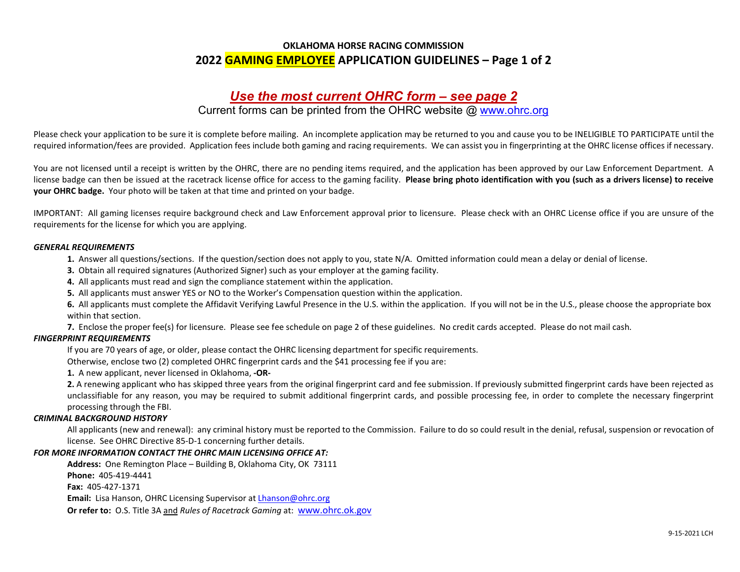### OKLAHOMA HORSE RACING COMMISSION 2022 GAMING EMPLOYEE APPLICATION GUIDELINES – Page 1 of 2

## Use the most current OHRC form – see page 2

## Current forms can be printed from the OHRC website @ www.ohrc.org

Please check your application to be sure it is complete before mailing. An incomplete application may be returned to you and cause you to be INELIGIBLE TO PARTICIPATE until the required information/fees are provided. Application fees include both gaming and racing requirements. We can assist you in fingerprinting at the OHRC license offices if necessary.

You are not licensed until a receipt is written by the OHRC, there are no pending items required, and the application has been approved by our Law Enforcement Department. A license badge can then be issued at the racetrack license office for access to the gaming facility. Please bring photo identification with you (such as a drivers license) to receive your OHRC badge. Your photo will be taken at that time and printed on your badge.

IMPORTANT: All gaming licenses require background check and Law Enforcement approval prior to licensure. Please check with an OHRC License office if you are unsure of the requirements for the license for which you are applying.

#### GENERAL REQUIREMENTS

1. Answer all questions/sections. If the question/section does not apply to you, state N/A. Omitted information could mean a delay or denial of license.

- 3. Obtain all required signatures (Authorized Signer) such as your employer at the gaming facility.
- 4. All applicants must read and sign the compliance statement within the application.
- 5. All applicants must answer YES or NO to the Worker's Compensation question within the application.

6. All applicants must complete the Affidavit Verifying Lawful Presence in the U.S. within the application. If you will not be in the U.S., please choose the appropriate box within that section.

7. Enclose the proper fee(s) for licensure. Please see fee schedule on page 2 of these guidelines. No credit cards accepted. Please do not mail cash.

#### FINGERPRINT REQUIREMENTS

If you are 70 years of age, or older, please contact the OHRC licensing department for specific requirements.

Otherwise, enclose two (2) completed OHRC fingerprint cards and the \$41 processing fee if you are:

1. A new applicant, never licensed in Oklahoma, ‐OR‐

2. A renewing applicant who has skipped three years from the original fingerprint card and fee submission. If previously submitted fingerprint cards have been rejected as unclassifiable for any reason, you may be required to submit additional fingerprint cards, and possible processing fee, in order to complete the necessary fingerprint processing through the FBI.

#### CRIMINAL BACKGROUND HISTORY

All applicants (new and renewal): any criminal history must be reported to the Commission. Failure to do so could result in the denial, refusal, suspension or revocation of license. See OHRC Directive 85‐D‐1 concerning further details.

#### FOR MORE INFORMATION CONTACT THE OHRC MAIN LICENSING OFFICE AT:

Address: One Remington Place – Building B, Oklahoma City, OK 73111 Phone: 405‐419‐4441

Fax: 405‐427‐1371

Email: Lisa Hanson, OHRC Licensing Supervisor at Lhanson@ohrc.org

Or refer to: O.S. Title 3A and Rules of Racetrack Gaming at: www.ohrc.ok.gov